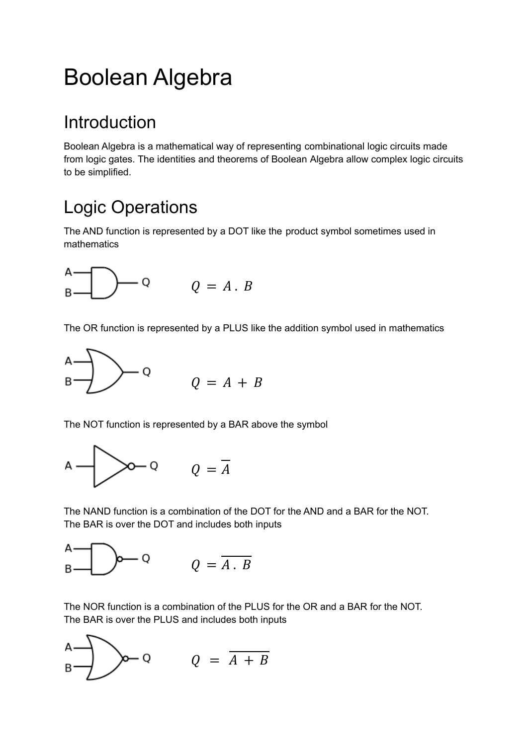# Boolean Algebra

# Introduction

Boolean Algebra is a mathematical way of representing combinational logic circuits made from logic gates. The identities and theorems of Boolean Algebra allow complex logic circuits to be simplified.

# Logic Operations

The AND function is represented by a DOT like the product symbol sometimes used in mathematics



The OR function is represented by a PLUS like the addition symbol used in mathematics



The NOT function is represented by a BAR above the symbol



The NAND function is a combination of the DOT for the AND and a BAR for the NOT. The BAR is over the DOT and includes both inputs



The NOR function is a combination of the PLUS for the OR and a BAR for the NOT. The BAR is over the PLUS and includes both inputs

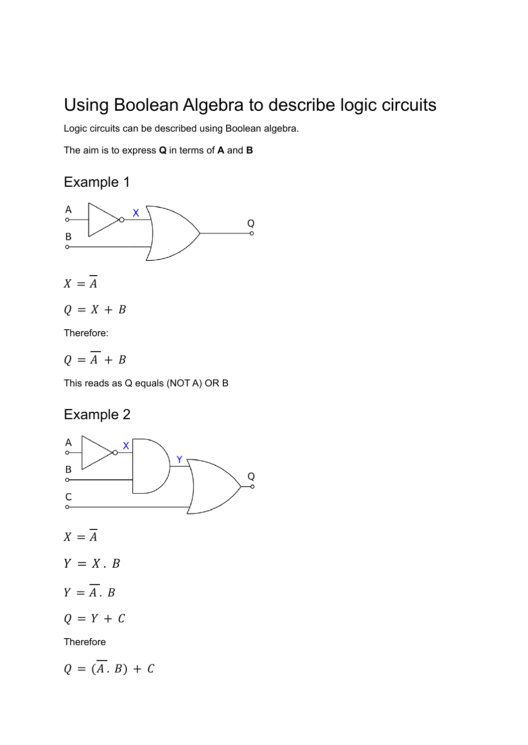## Using Boolean Algebra to describe logic circuits

Logic circuits can be described using Boolean algebra.

The aim is to express **Q** in terms of **A** and **B**

### Example 1



Therefore:

 $Q = \overline{A} + B$ 

This reads as Q equals (NOT A) OR B

### Example 2



 $X=\overline{A}$ 

 $Y = X \cdot B$ 

 $Y = \overline{A}$ ,  $B$ 

 $Q = Y + C$ 

**Therefore** 

 $Q = (\overline{A} \cdot B) + C$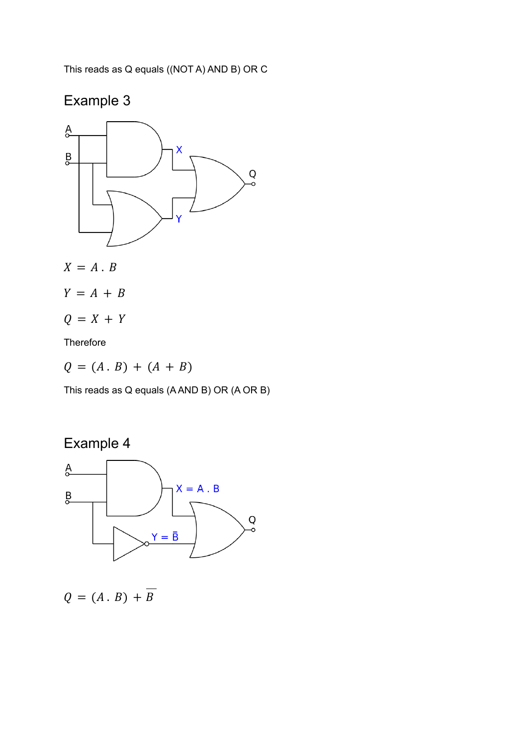This reads as Q equals ((NOT A) AND B) OR C

### Example 3



$$
X=A.B
$$

- $Y = A + B$
- $Q = X + Y$

Therefore

 $Q = (A \cdot B) + (A + B)$ 

This reads as Q equals (A AND B) OR (A OR B)





$$
Q = (A \cdot B) + B
$$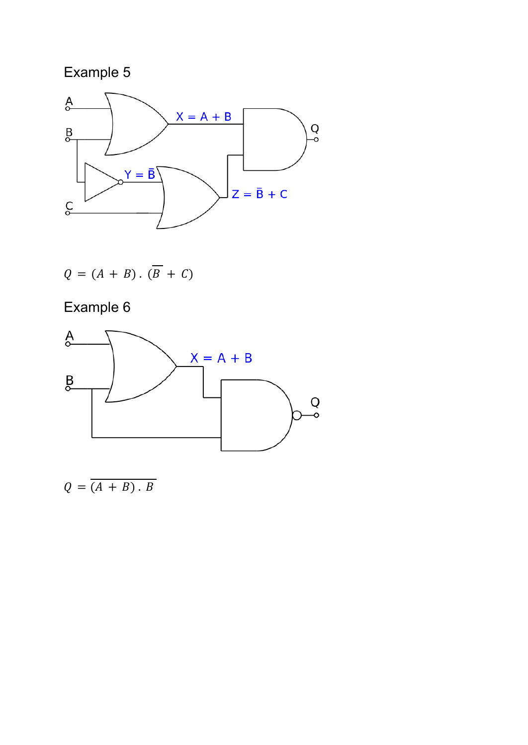### Example 5



$$
Q = (A + B) \cdot (\overline{B} + C)
$$

Example 6



 $Q = \overline{(A + B) \cdot B}$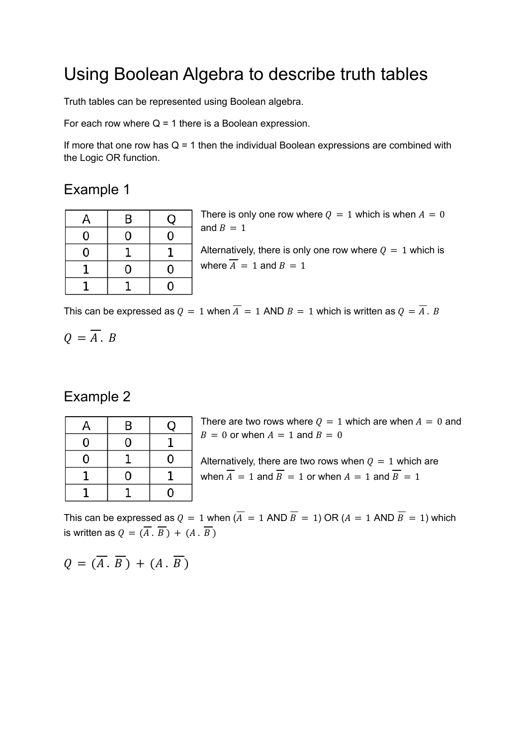### Using Boolean Algebra to describe truth tables

Truth tables can be represented using Boolean algebra.

For each row where  $Q = 1$  there is a Boolean expression.

If more that one row has  $Q = 1$  then the individual Boolean expressions are combined with the Logic OR function.

#### Example 1

| А | B | Ő              |
|---|---|----------------|
| 0 | O | 0              |
| 0 |   |                |
|   | ი | 0              |
|   |   | $\overline{0}$ |

There is only one row where  $Q = 1$  which is when  $A = 0$ and  $B = 1$ Alternatively, there is only one row where  $Q = 1$  which is where  $\overline{A} = 1$  and  $B = 1$ 

This can be expressed as  $Q = 1$  when  $\overline{A} = 1$  AND  $B = 1$  which is written as  $Q = \overline{A}$ . B

$$
Q=\overline{A}.\ B
$$

#### Example 2

| А | B           | U |
|---|-------------|---|
| 0 | $\mathbf 0$ |   |
| 0 |             | 0 |
|   | 0           |   |
|   |             | 0 |

There are two rows where  $0 = 1$  which are when  $A = 0$  and  $B = 0$  or when  $A = 1$  and  $B = 0$ 

Alternatively, there are two rows when  $Q = 1$  which are when  $\overline{A} = 1$  and  $\overline{B} = 1$  or when  $A = 1$  and  $\overline{B} = 1$ 

This can be expressed as  $Q = 1$  when  $\overline{A} = 1$  AND  $\overline{B} = 1$ ) OR ( $A = 1$  AND  $\overline{B} = 1$ ) which is written as  $Q = (\overline{A} \cdot \overline{B}) + (A \cdot \overline{B})$ 

$$
Q = (\overline{A} \cdot \overline{B}) + (A \cdot \overline{B})
$$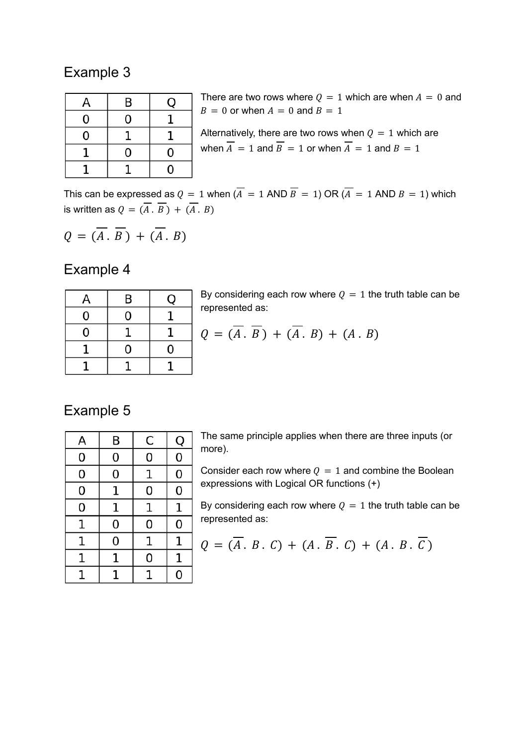#### Example 3

| А | B |   |
|---|---|---|
| 0 | 0 |   |
| 0 |   |   |
|   | 0 | 0 |
|   |   | 0 |

There are two rows where  $Q = 1$  which are when  $A = 0$  and  $B = 0$  or when  $A = 0$  and  $B = 1$ Alternatively, there are two rows when  $Q = 1$  which are when  $\overline{A} = 1$  and  $\overline{B} = 1$  or when  $\overline{A} = 1$  and  $B = 1$ 

This can be expressed as  $Q = 1$  when  $\overline{A} = 1$  AND  $\overline{B} = 1$ ) OR  $\overline{A} = 1$  AND  $B = 1$ ) which is written as  $Q = (\overline{A} \cdot \overline{B}) + (\overline{A} \cdot B)$ 

$$
Q = (\overline{A} \cdot \overline{B}) + (\overline{A} \cdot B)
$$

#### Example 4

| А | B | C |
|---|---|---|
| 0 | 0 |   |
| 0 |   |   |
|   | 0 | 0 |
|   |   |   |

By considering each row where  $Q = 1$  the truth table can be represented as:

$$
Q = (\overline{A} \cdot \overline{B}) + (\overline{A} \cdot B) + (A \cdot B)
$$

#### Example 5

| A           | B | C | Q           |
|-------------|---|---|-------------|
| 0           | 0 | 0 | 0           |
| 0           | 0 | 1 | 0           |
| 0           | 1 | 0 | 0           |
| 0           | 1 | 1 | $\mathbf 1$ |
| 1           | 0 | 0 | 0           |
| $\mathbf 1$ | 0 | 1 | 1           |
| 1           | 1 | 0 | 1           |
| 1           | 1 |   | 0           |

The same principle applies when there are three inputs (or more).

Consider each row where  $Q = 1$  and combine the Boolean expressions with Logical OR functions (+)

By considering each row where  $Q = 1$  the truth table can be represented as:

$$
Q = (\overline{A} \cdot B \cdot C) + (A \cdot \overline{B} \cdot C) + (A \cdot B \cdot \overline{C})
$$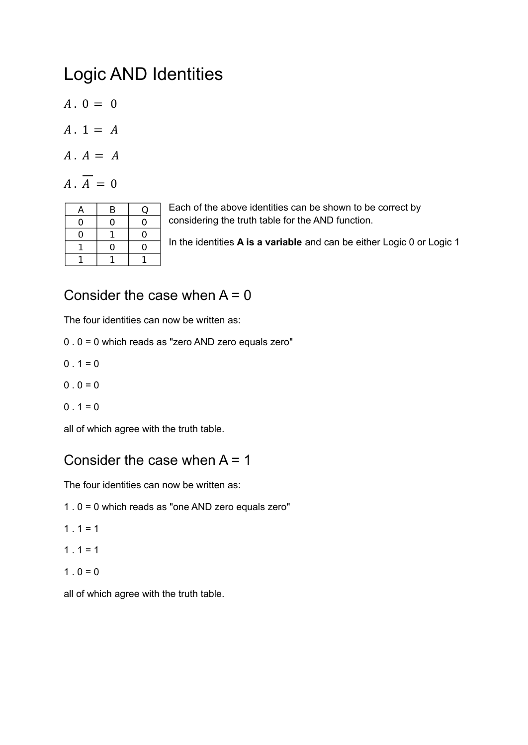## Logic AND Identities

- $A \cdot 0 = 0$
- $A. 1 = A$
- $A \cdot A = A$
- $\overline{A}$ .  $\overline{A} = 0$

| А | B | O |
|---|---|---|
| 0 | ი | 0 |
| 0 |   | 0 |
|   | 0 | 0 |
|   |   |   |

Each of the above identities can be shown to be correct by considering the truth table for the AND function.

In the identities **A is a variable** and can be either Logic 0 or Logic 1

### Consider the case when  $A = 0$

The four identities can now be written as:

- 0 . 0 = 0 which reads as "zero AND zero equals zero"
- $0.1 = 0$
- $0 \cdot 0 = 0$
- $0.1 = 0$

all of which agree with the truth table.

#### Consider the case when  $A = 1$

The four identities can now be written as:

- 1 . 0 = 0 which reads as "one AND zero equals zero"
- $1.1 = 1$
- $1.1 = 1$
- $1 \cdot 0 = 0$

all of which agree with the truth table.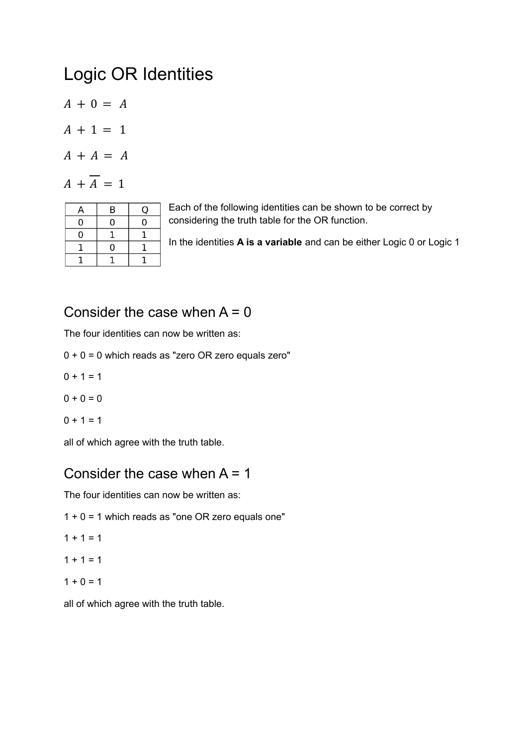### Logic OR Identities

 $A + 0 = A$ 

$$
A + 1 = 1
$$

$$
A + A = A
$$

$$
A + \overline{A} = 1
$$

| А | B        | □ |
|---|----------|---|
| 0 | 0        | 0 |
| 0 |          |   |
|   | $\Omega$ |   |
|   |          |   |

Each of the following identities can be shown to be correct by considering the truth table for the OR function.

In the identities **A is a variable** and can be either Logic 0 or Logic 1

#### Consider the case when  $A = 0$

The four identities can now be written as:

- $0 + 0 = 0$  which reads as "zero OR zero equals zero"
- $0 + 1 = 1$
- $0 + 0 = 0$

$$
0 + 1 = 1
$$

all of which agree with the truth table.

#### Consider the case when  $A = 1$

The four identities can now be written as:

- $1 + 0 = 1$  which reads as "one OR zero equals one"
- $1 + 1 = 1$

$$
1 + 1 = 1
$$

$$
1+0=1
$$

all of which agree with the truth table.